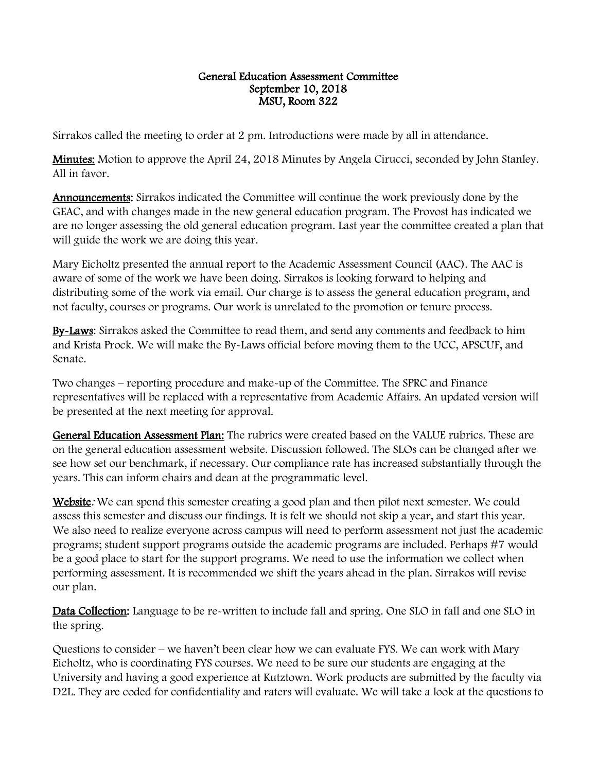## General Education Assessment Committee September 10, 2018 MSU, Room 322

Sirrakos called the meeting to order at 2 pm. Introductions were made by all in attendance.

**Minutes:** Motion to approve the April 24, 2018 Minutes by Angela Cirucci, seconded by John Stanley. All in favor.

Announcements: Sirrakos indicated the Committee will continue the work previously done by the GEAC, and with changes made in the new general education program. The Provost has indicated we are no longer assessing the old general education program. Last year the committee created a plan that will guide the work we are doing this year.

Mary Eicholtz presented the annual report to the Academic Assessment Council (AAC). The AAC is aware of some of the work we have been doing. Sirrakos is looking forward to helping and distributing some of the work via email. Our charge is to assess the general education program, and not faculty, courses or programs. Our work is unrelated to the promotion or tenure process.

By-Laws: Sirrakos asked the Committee to read them, and send any comments and feedback to him and Krista Prock. We will make the By-Laws official before moving them to the UCC, APSCUF, and Senate.

Two changes – reporting procedure and make-up of the Committee. The SPRC and Finance representatives will be replaced with a representative from Academic Affairs. An updated version will be presented at the next meeting for approval.

General Education Assessment Plan: The rubrics were created based on the VALUE rubrics. These are on the general education assessment website. Discussion followed. The SLOs can be changed after we see how set our benchmark, if necessary. Our compliance rate has increased substantially through the years. This can inform chairs and dean at the programmatic level.

Website: We can spend this semester creating a good plan and then pilot next semester. We could assess this semester and discuss our findings. It is felt we should not skip a year, and start this year. We also need to realize everyone across campus will need to perform assessment not just the academic programs; student support programs outside the academic programs are included. Perhaps #7 would be a good place to start for the support programs. We need to use the information we collect when performing assessment. It is recommended we shift the years ahead in the plan. Sirrakos will revise our plan.

Data Collection: Language to be re-written to include fall and spring. One SLO in fall and one SLO in the spring.

Questions to consider – we haven't been clear how we can evaluate FYS. We can work with Mary Eicholtz, who is coordinating FYS courses. We need to be sure our students are engaging at the University and having a good experience at Kutztown. Work products are submitted by the faculty via D2L. They are coded for confidentiality and raters will evaluate. We will take a look at the questions to